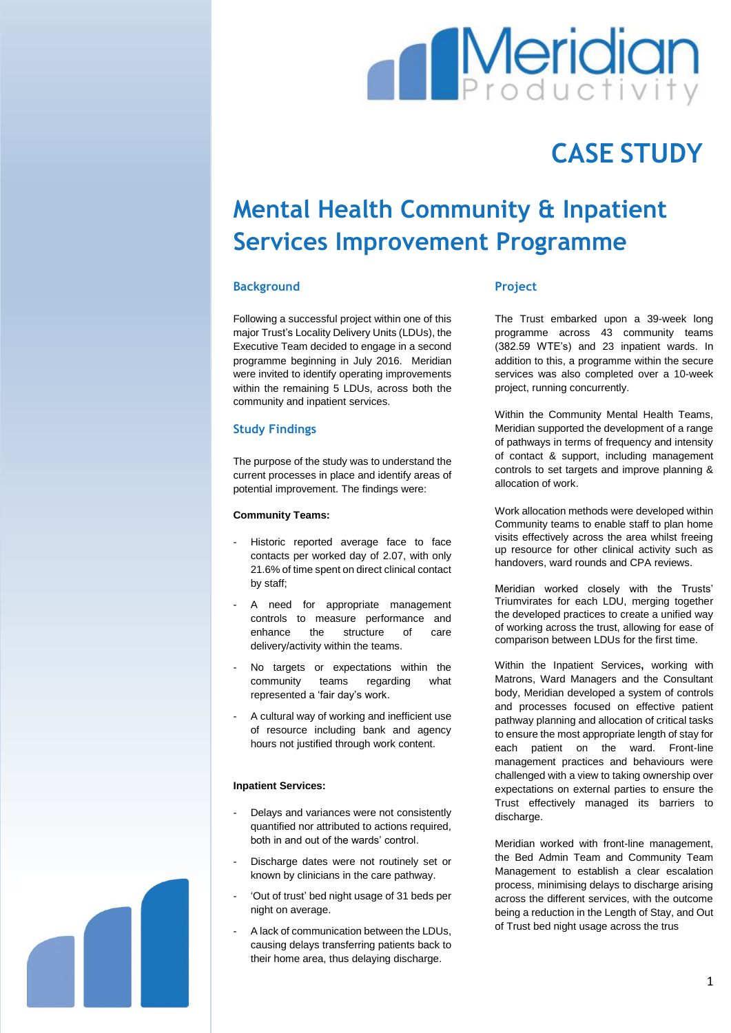

# **CASE STUDY**

# **Mental Health Community & Inpatient Services Improvement Programme**

## **Background**

Following a successful project within one of this major Trust's Locality Delivery Units (LDUs), the Executive Team decided to engage in a second programme beginning in July 2016. Meridian were invited to identify operating improvements within the remaining 5 LDUs, across both the community and inpatient services.

## **Study Findings**

The purpose of the study was to understand the current processes in place and identify areas of potential improvement. The findings were:

### **Community Teams:**

- Historic reported average face to face contacts per worked day of 2.07, with only 21.6% of time spent on direct clinical contact by staff;
- A need for appropriate management controls to measure performance and enhance the structure of care delivery/activity within the teams.
- No targets or expectations within the community teams regarding what represented a 'fair day's work.
- A cultural way of working and inefficient use of resource including bank and agency hours not justified through work content.

### **Inpatient Services:**

- Delays and variances were not consistently quantified nor attributed to actions required, both in and out of the wards' control.
- Discharge dates were not routinely set or known by clinicians in the care pathway.
- 'Out of trust' bed night usage of 31 beds per night on average.
- A lack of communication between the LDUs, causing delays transferring patients back to their home area, thus delaying discharge.

## **Project**

The Trust embarked upon a 39-week long programme across 43 community teams (382.59 WTE's) and 23 inpatient wards. In addition to this, a programme within the secure services was also completed over a 10-week project, running concurrently.

Within the Community Mental Health Teams, Meridian supported the development of a range of pathways in terms of frequency and intensity of contact & support, including management controls to set targets and improve planning & allocation of work.

Work allocation methods were developed within Community teams to enable staff to plan home visits effectively across the area whilst freeing up resource for other clinical activity such as handovers, ward rounds and CPA reviews.

Meridian worked closely with the Trusts' Triumvirates for each LDU, merging together the developed practices to create a unified way of working across the trust, allowing for ease of comparison between LDUs for the first time.

Within the Inpatient Services**,** working with Matrons, Ward Managers and the Consultant body, Meridian developed a system of controls and processes focused on effective patient pathway planning and allocation of critical tasks to ensure the most appropriate length of stay for each patient on the ward. Front-line management practices and behaviours were challenged with a view to taking ownership over expectations on external parties to ensure the Trust effectively managed its barriers to discharge.

Meridian worked with front-line management, the Bed Admin Team and Community Team Management to establish a clear escalation process, minimising delays to discharge arising across the different services, with the outcome being a reduction in the Length of Stay, and Out of Trust bed night usage across the trus